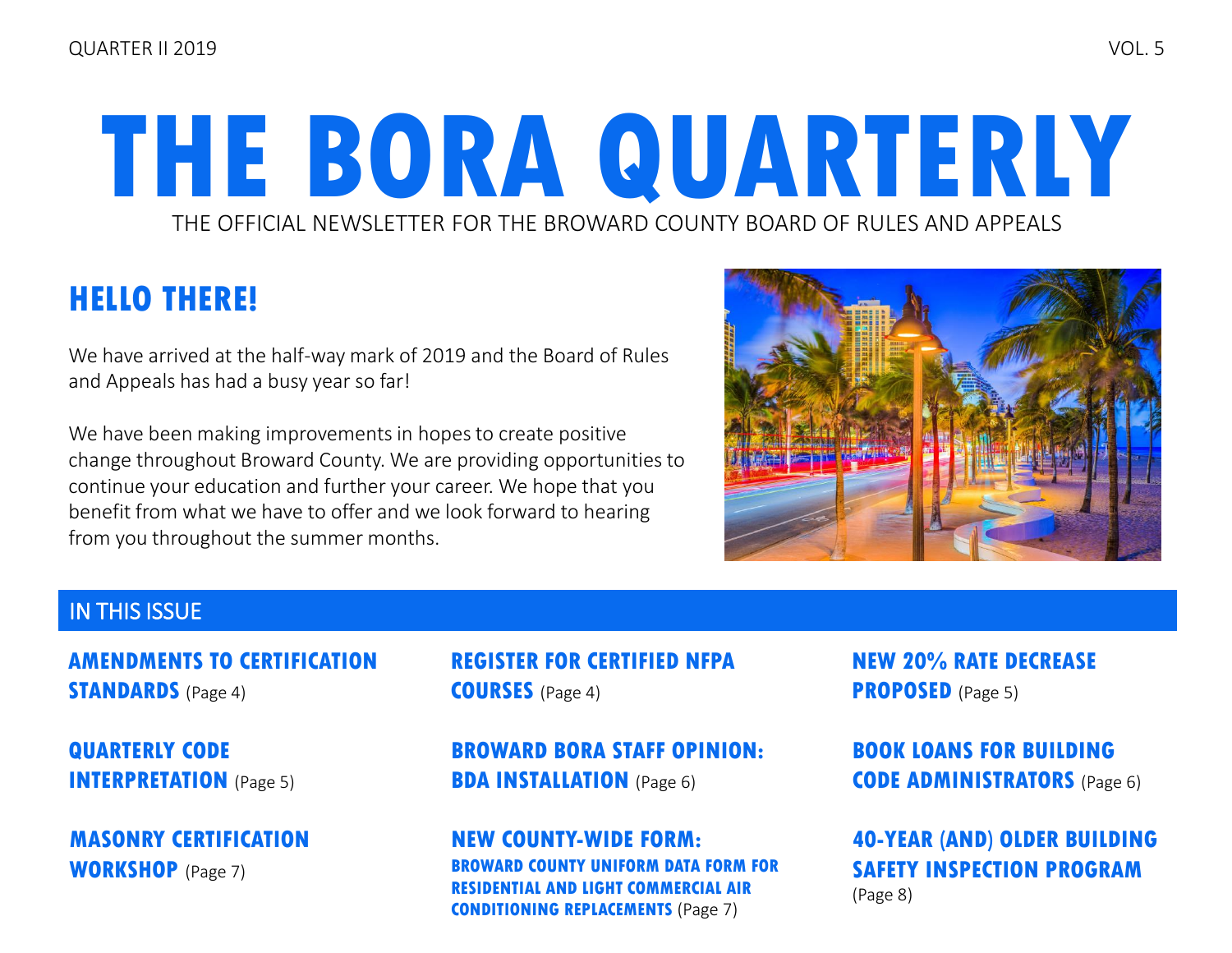# THE OFFICIAL NEWSLETTER FOR THE BROWARD COUNTY BOARD OF RULES AND APPEALS **THE BORA QUARTERLY**

### **HELLO THERE!**

We have arrived at the half-way mark of 2019 and the Board of Rules and Appeals has had a busy year so far!

We have been making improvements in hopes to create positive change throughout Broward County. We are providing opportunities to continue your education and further your career. We hope that you benefit from what we have to offer and we look forward to hearing from you throughout the summer months.



### IN THIS ISSUE

**[AMENDMENTS TO CERTIFICATION](#page-3-0)  STANDARDS** (Page 4)

**[QUARTERLY CODE](#page-4-0)  INTERPRETATION** (Page 5)

**[MASONRY CERTIFICATION](#page-6-0)  WORKSHOP** (Page 7)

**[REGISTER FOR CERTIFIED NFPA](#page-3-0)  COURSES** (Page 4)

**[BROWARD BORA STAFF OPINION:](#page-5-0)  BDA INSTALLATION** (Page 6)

**[NEW COUNTY-WIDE FORM:](#page-6-0)  COUNTY UNIFORM DATA FORM FOR RESIDENTIAL AND LIGHT COMMERCIAL AIR CONDITIONING REPLACEMENTS** (Page 7)

**[NEW 20% RATE DECREASE](#page-4-0)  PROPOSED** (Page 5)

**[BOOK LOANS FOR BUILDING](#page-5-0)  CODE ADMINISTRATORS** (Page 6)

**[40-YEAR \(AND\) OLDER BUILDING](#page-7-0) SAFETY INSPECTION PROGRAM** (Page 8)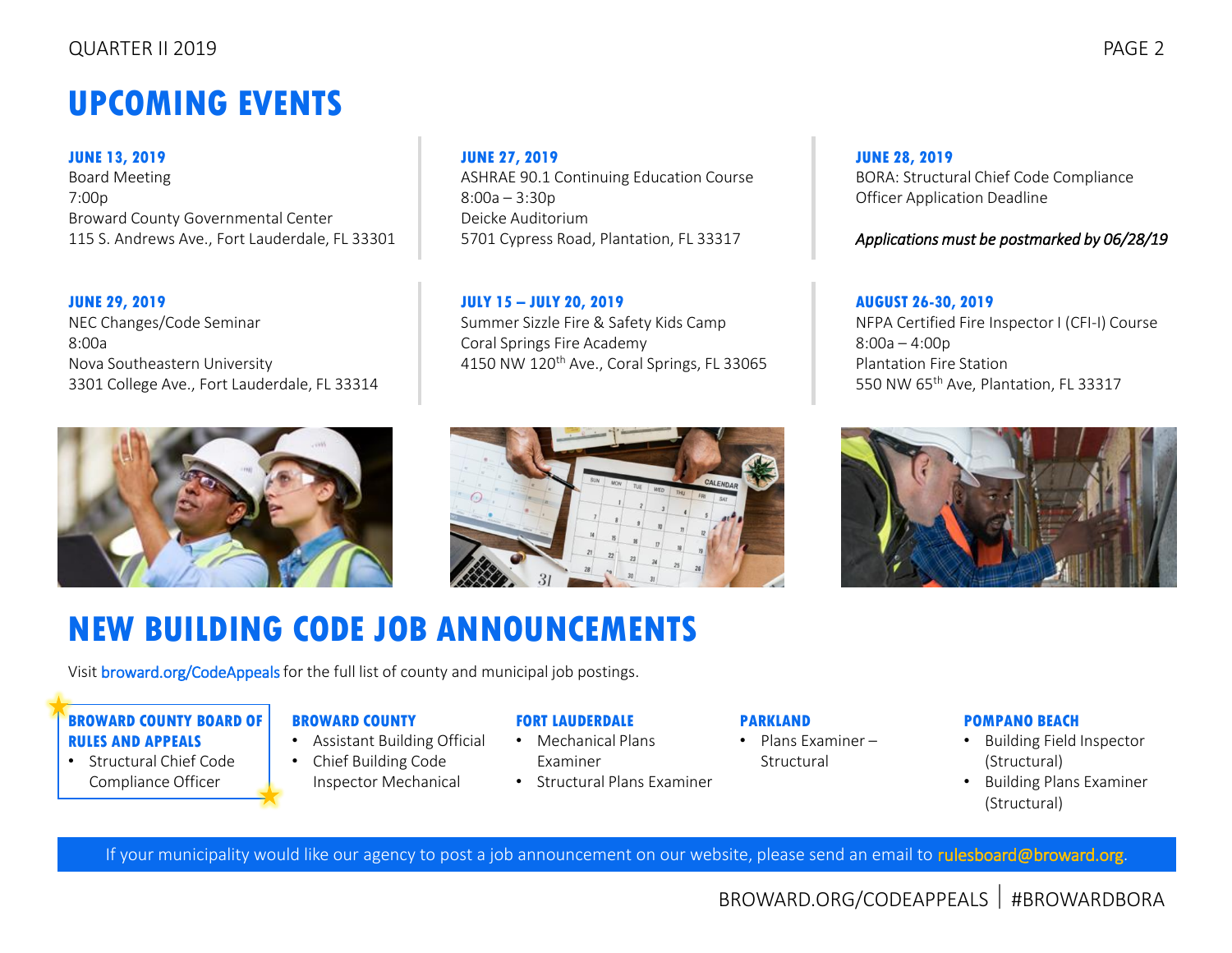## **UPCOMING EVENTS**

**JUNE 13, 2019** Board Meeting 7:00p Broward County Governmental Center 115 S. Andrews Ave., Fort Lauderdale, FL 33301

#### **JUNE 29, 2019**

NEC Changes/Code Seminar 8:00a Nova Southeastern University 3301 College Ave., Fort Lauderdale, FL 33314

#### **JUNE 27, 2019**

ASHRAE 90.1 Continuing Education Course 8:00a – 3:30p Deicke Auditorium 5701 Cypress Road, Plantation, FL 33317

**JULY 15 – JULY 20, 2019** Summer Sizzle Fire & Safety Kids Camp Coral Springs Fire Academy 4150 NW 120th Ave., Coral Springs, FL 33065

### **JUNE 28, 2019**

BORA: Structural Chief Code Compliance Officer Application Deadline

#### *Applications must be postmarked by 06/28/19*

#### **AUGUST 26-30, 2019**

NFPA Certified Fire Inspector I (CFI-I) Course 8:00a – 4:00p Plantation Fire Station 550 NW 65th Ave, Plantation, FL 33317





Visi[t broward.org/CodeAppeals](http://www.broward.org/CodeAppeals/Pages/JobAnnouncements.aspx) for the full list of county and municipal job postings.

#### **BROWARD COUNTY BOARD OF RULES AND APPEALS**

• Structural Chief Code Compliance Officer

#### **BROWARD COUNTY**

- Assistant Building Official
- Chief Building Code Inspector Mechanical

#### **FORT LAUDERDALE**

- Mechanical Plans Examiner
- Structural Plans Examiner

#### **PARKLAND**

• Plans Examiner – Structural

#### **POMPANO BEACH**

- Building Field Inspector (Structural)
- Building Plans Examiner (Structural)

If your municipality would like our agency to post a job announcement on our website, please send an email t[o rulesboard@broward.org.](mailto:rulesboard@broward.org)

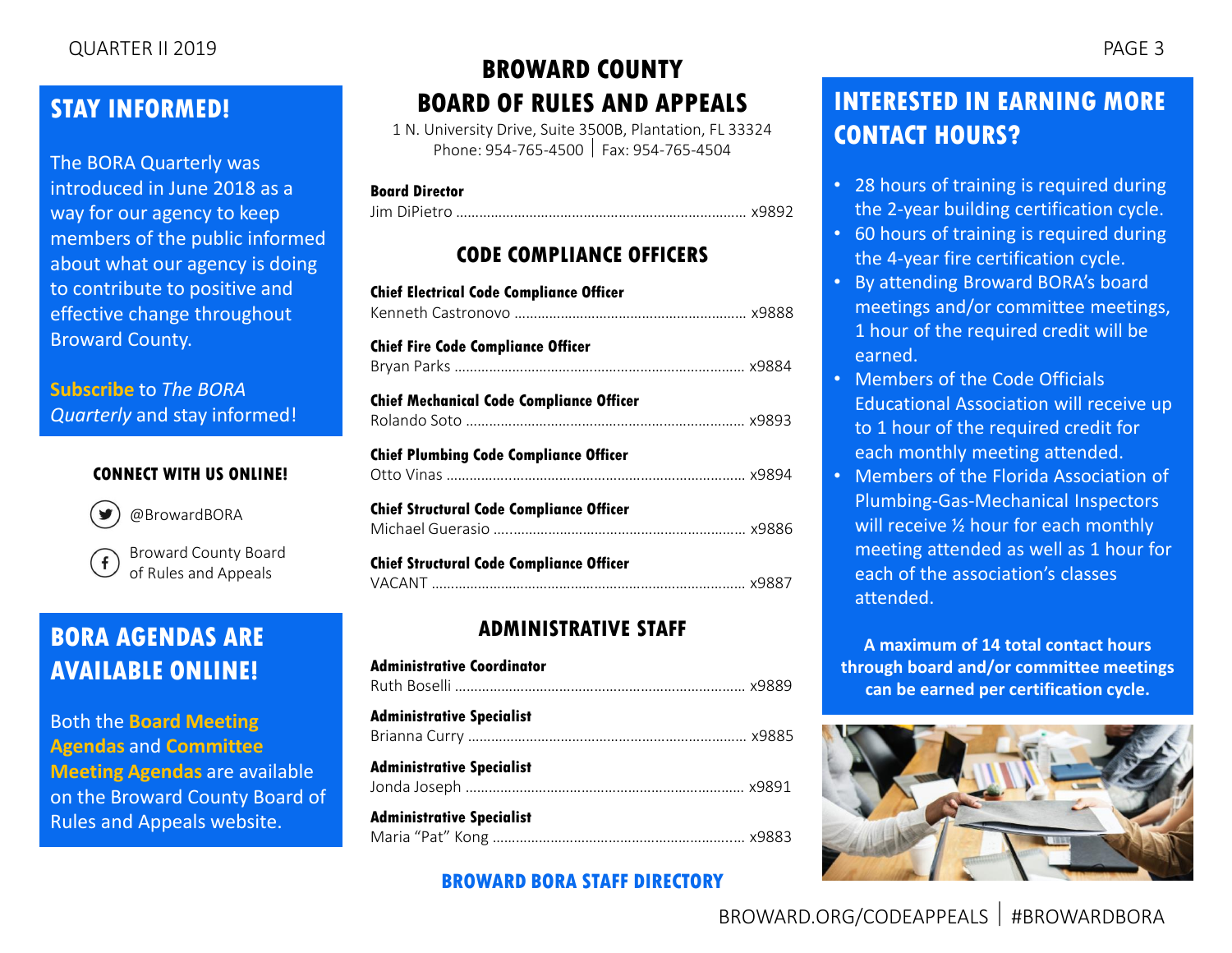The BORA Quarterly was introduced in June 2018 as a way for our agency to keep members of the public informed about what our agency is doing to contribute to positive and effective change throughout Broward County.

**[Subscribe](mailto:rulesboard@broward.org)** to *The BORA Quarterly* and stay informed!

#### **CONNECT WITH US ONLINE!**



[@BrowardBORA](https://twitter.com/BrowardBORA)

[Broward County Board](https://www.facebook.com/BrowardBORA/)  of Rules and Appeals

### **BORA AGENDAS ARE AVAILABLE ONLINE!**

Both the **[Board Meeting](http://www.broward.org/CodeAppeals/Pages/BoardMeetingAgendas.aspx)  [Agendas](http://www.broward.org/CodeAppeals/Pages/BoardMeetingAgendas.aspx)** and **[Committee](http://www.broward.org/CodeAppeals/Pages/CommitteeMeetingAgendas.aspx)  [Meeting Agendas](http://www.broward.org/CodeAppeals/Pages/CommitteeMeetingAgendas.aspx)** are available on the Broward County Board of Rules and Appeals website.

### **BROWARD COUNTY BOARD OF RULES AND APPEALS**

1 N. University Drive, Suite 3500B, Plantation, FL 33324 Phone: 954-765-4500 Fax: 954-765-4504

#### **Board Director**

Jim DiPietro ………………………………………………………………… x9892

### **CODE COMPLIANCE OFFICERS**

| <b>Chief Electrical Code Compliance Officer</b> |  |
|-------------------------------------------------|--|
| <b>Chief Fire Code Compliance Officer</b>       |  |
| <b>Chief Mechanical Code Compliance Officer</b> |  |
| <b>Chief Plumbing Code Compliance Officer</b>   |  |
| <b>Chief Structural Code Compliance Officer</b> |  |
| <b>Chief Structural Code Compliance Officer</b> |  |

### **ADMINISTRATIVE STAFF**

| <b>Administrative Coordinator</b> |  |
|-----------------------------------|--|
| <b>Administrative Specialist</b>  |  |
| <b>Administrative Specialist</b>  |  |
| <b>Administrative Specialist</b>  |  |

### **[BROWARD BORA STAFF DIRECTORY](http://www.broward.org/CodeAppeals/Pages/staffContacts.aspx)**

### **INTERESTED IN EARNING MORE CONTACT HOURS?**

- 28 hours of training is required during the 2-year building certification cycle.
- 60 hours of training is required during the 4-year fire certification cycle.
- By attending Broward BORA's board meetings and/or committee meetings, 1 hour of the required credit will be earned.
- Members of the Code Officials Educational Association will receive up to 1 hour of the required credit for each monthly meeting attended.
- Members of the Florida Association of Plumbing-Gas-Mechanical Inspectors will receive  $\frac{1}{2}$  hour for each monthly meeting attended as well as 1 hour for each of the association's classes attended.

**A maximum of 14 total contact hours through board and/or committee meetings can be earned per certification cycle.**

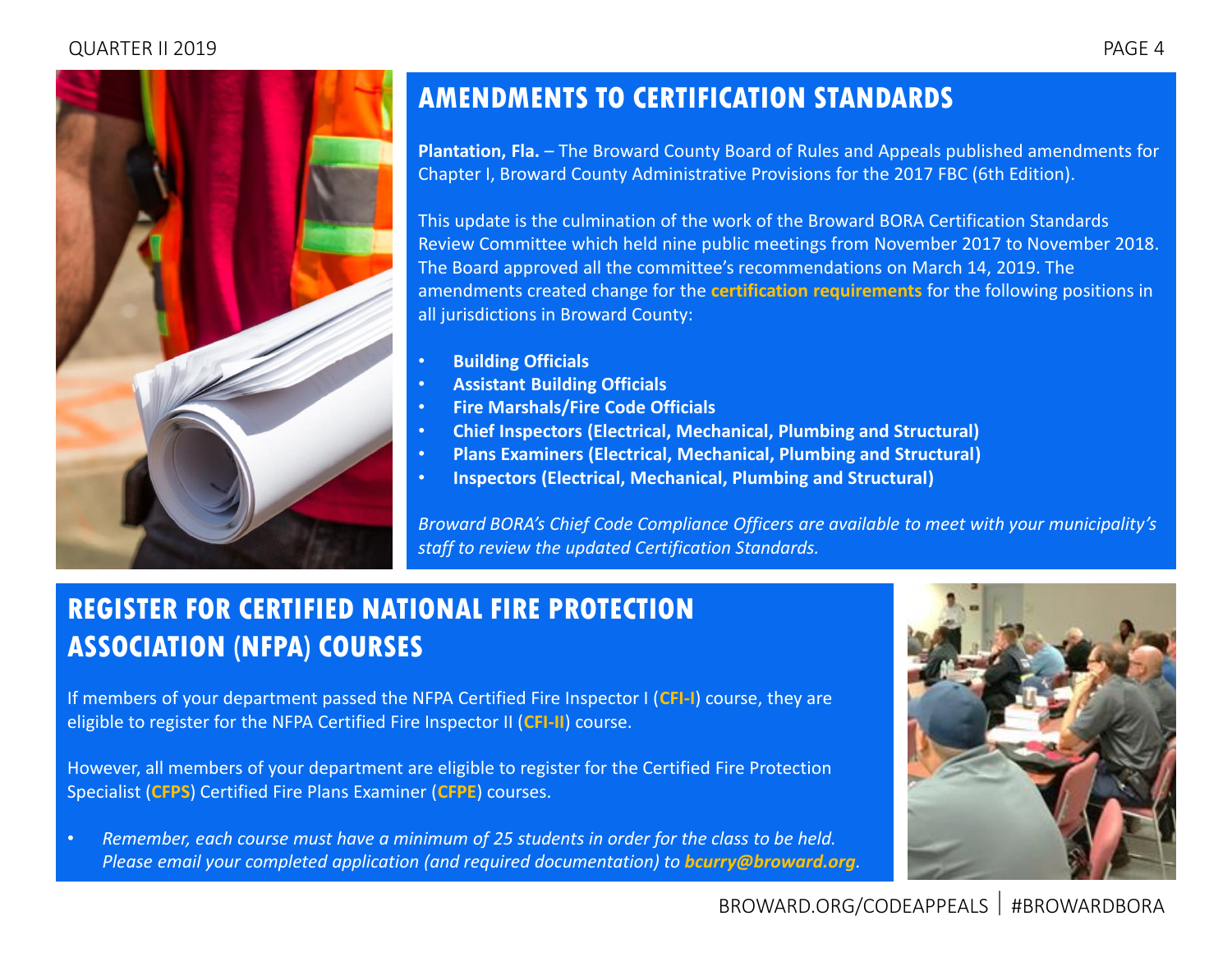#### QUARTER II 2019 PAGE 4

<span id="page-3-0"></span>

### **AMENDMENTS TO CERTIFICATION STANDARDS**

**Plantation, Fla.** – The Broward County Board of Rules and Appeals published amendments for Chapter I, Broward County Administrative Provisions for the 2017 FBC (6th Edition).

This update is the culmination of the work of the Broward BORA Certification Standards Review Committee which held nine public meetings from November 2017 to November 2018. The Board approved all the committee's recommendations on March 14, 2019. The amendments created change for the **[certification requirements](http://www.broward.org/CodeAppeals/Pages/inspectorQualification.aspx)** for the following positions in all jurisdictions in Broward County:

- **Building Officials**
- **Assistant Building Officials**
- **Fire Marshals/Fire Code Officials**
- **Chief Inspectors (Electrical, Mechanical, Plumbing and Structural)**
- **Plans Examiners (Electrical, Mechanical, Plumbing and Structural)**
- **Inspectors (Electrical, Mechanical, Plumbing and Structural)**

*Broward BORA's Chief Code Compliance Officers are available to meet with your municipality's staff to review the updated Certification Standards.*

### **REGISTER FOR CERTIFIED NATIONAL FIRE PROTECTION ASSOCIATION (NFPA) COURSES**

If members of your department passed the NFPA Certified Fire Inspector I (**[CFI-I](http://www.broward.org/CodeAppeals/AboutUs/Documents/Certified%20Fire%20Inspector%20I%20(CF-I).pdf)**) course, they are eligible to register for the NFPA Certified Fire Inspector II (**[CFI-II](http://www.broward.org/CodeAppeals/AboutUs/Documents/Certified%20Fire%20Inspector%20II%20(CF-II).pdf)**) course.

However, all members of your department are eligible to register for the Certified Fire Protection Specialist (**[CFPS](http://www.broward.org/CodeAppeals/AboutUs/Documents/Certified%20Fire%20Protection%20Specialist.pdf)**) Certified Fire Plans Examiner (**[CFPE](http://www.broward.org/CodeAppeals/AboutUs/Documents/Certified%20Fire%20Plans%20Examiner.pdf)**) courses.

• *Remember, each course must have a minimum of 25 students in order for the class to be held. Please email your completed application (and required documentation) to <i>[bcurry@broward.org](mailto:bcurry@broward.org)*.

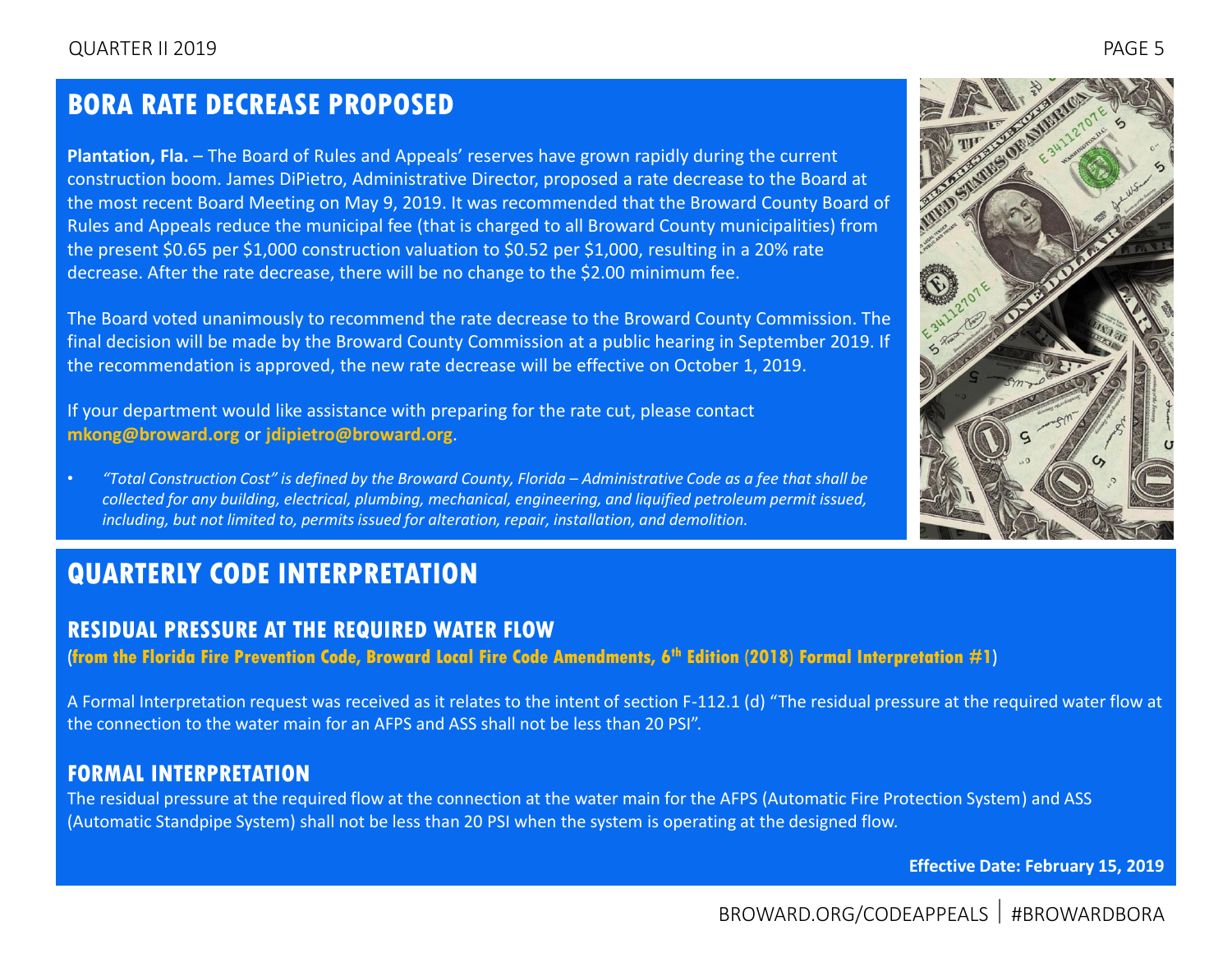### <span id="page-4-0"></span>**BORA RATE DECREASE PROPOSED**

**Plantation, Fla.** – The Board of Rules and Appeals' reserves have grown rapidly during the current construction boom. James DiPietro, Administrative Director, proposed a rate decrease to the Board at the most recent Board Meeting on May 9, 2019. It was recommended that the Broward County Board of Rules and Appeals reduce the municipal fee (that is charged to all Broward County municipalities) from the present \$0.65 per \$1,000 construction valuation to \$0.52 per \$1,000, resulting in a 20% rate decrease. After the rate decrease, there will be no change to the \$2.00 minimum fee.

The Board voted unanimously to recommend the rate decrease to the Broward County Commission. The final decision will be made by the Broward County Commission at a public hearing in September 2019. If the recommendation is approved, the new rate decrease will be effective on October 1, 2019.

If your department would like assistance with preparing for the rate cut, please contact **[mkong@broward.org](mailto:mkong@broward.org)** or **[jdipietro@broward.org](mailto:jdipietro@broward.org)**.

• *"Total Construction Cost" is defined by the Broward County, Florida – Administrative Code as a fee that shall be collected for any building, electrical, plumbing, mechanical, engineering, and liquified petroleum permit issued, including, but not limited to, permits issued for alteration, repair, installation, and demolition.*

### **QUARTERLY CODE INTERPRETATION**

#### **RESIDUAL PRESSURE AT THE REQUIRED WATER FLOW**

**[\(from the Florida Fire Prevention Code, Broward Local Fire Code Amendments, 6](http://www.broward.org/CodeAppeals/Documents/FI-1%20FIRE%20Residual%20Pressure%20at%20the%20Required%20Water%20Flow.pdf)th Edition (2018) Formal Interpretation #1)**

A Formal Interpretation request was received as it relates to the intent of section F-112.1 (d) "The residual pressure at the required water flow at the connection to the water main for an AFPS and ASS shall not be less than 20 PSI".

### **FORMAL INTERPRETATION**

The residual pressure at the required flow at the connection at the water main for the AFPS (Automatic Fire Protection System) and ASS (Automatic Standpipe System) shall not be less than 20 PSI when the system is operating at the designed flow.

**Effective Date: February 15, 2019**

### BROWARD.ORG/CODEAPPEALS #BROWARDBORA

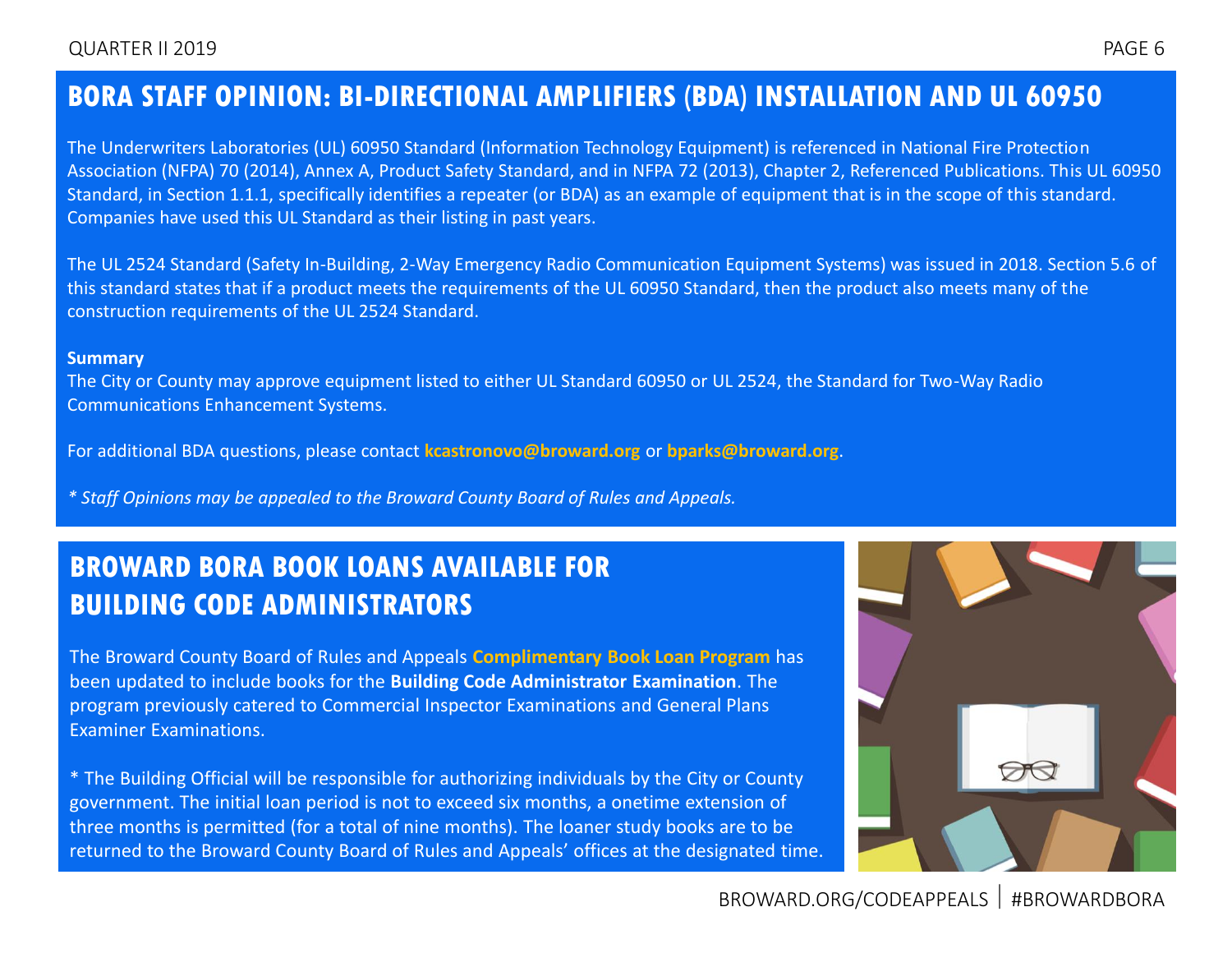### <span id="page-5-0"></span>**BORA STAFF OPINION: BI-DIRECTIONAL AMPLIFIERS (BDA) INSTALLATION AND UL 60950**

The Underwriters Laboratories (UL) 60950 Standard (Information Technology Equipment) is referenced in National Fire Protection Association (NFPA) 70 (2014), Annex A, Product Safety Standard, and in NFPA 72 (2013), Chapter 2, Referenced Publications. This UL 60950 Standard, in Section 1.1.1, specifically identifies a repeater (or BDA) as an example of equipment that is in the scope of this standard. Companies have used this UL Standard as their listing in past years.

The UL 2524 Standard (Safety In-Building, 2-Way Emergency Radio Communication Equipment Systems) was issued in 2018. Section 5.6 of this standard states that if a product meets the requirements of the UL 60950 Standard, then the product also meets many of the construction requirements of the UL 2524 Standard.

#### **Summary**

The City or County may approve equipment listed to either UL Standard 60950 or UL 2524, the Standard for Two-Way Radio Communications Enhancement Systems.

For additional BDA questions, please contact **[kcastronovo@broward.org](mailto:kcastronovo@broward.org)** or **[bparks@broward.org](mailto:bparks@broward.org)**.

*\* Staff Opinions may be appealed to the Broward County Board of Rules and Appeals.*

### **BROWARD BORA BOOK LOANS AVAILABLE FOR BUILDING CODE ADMINISTRATORS**

The Broward County Board of Rules and Appeals **[Complimentary Book Loan Program](http://www.broward.org/CodeAppeals/Documents/Fillable%20Form%20-%20Complementary%20Book%20Loan%20Program.pdf)** has been updated to include books for the **Building Code Administrator Examination**. The program previously catered to Commercial Inspector Examinations and General Plans Examiner Examinations.

\* The Building Official will be responsible for authorizing individuals by the City or County government. The initial loan period is not to exceed six months, a onetime extension of three months is permitted (for a total of nine months). The loaner study books are to be returned to the Broward County Board of Rules and Appeals' offices at the designated time.

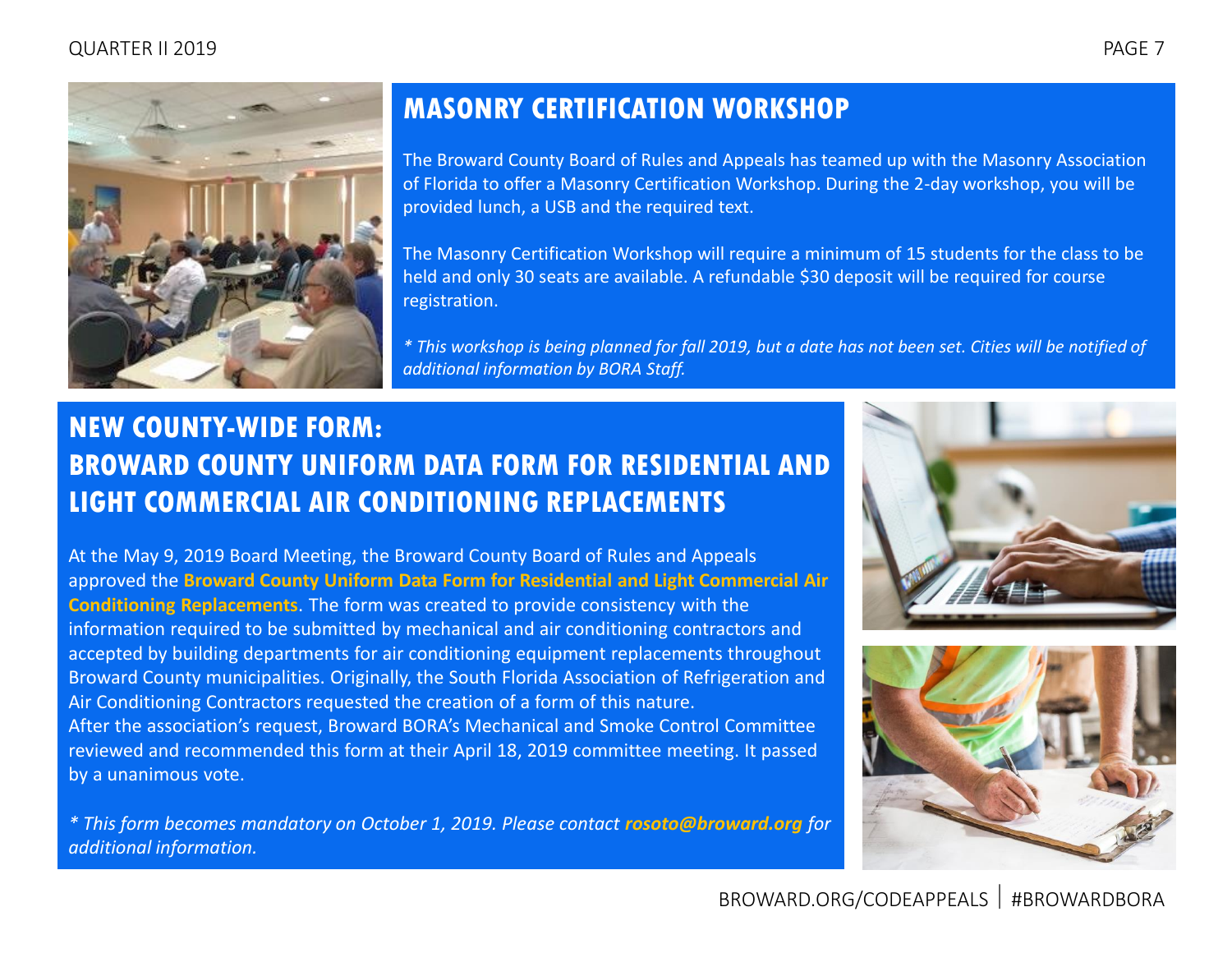#### <span id="page-6-0"></span>QUARTER II 2019 PAGE 7



### **MASONRY CERTIFICATION WORKSHOP**

The Broward County Board of Rules and Appeals has teamed up with the Masonry Association of Florida to offer a Masonry Certification Workshop. During the 2-day workshop, you will be provided lunch, a USB and the required text.

The Masonry Certification Workshop will require a minimum of 15 students for the class to be held and only 30 seats are available. A refundable \$30 deposit will be required for course registration.

*\* This workshop is being planned for fall 2019, but a date has not been set. Cities will be notified of additional information by BORA Staff.*

### **NEW COUNTY-WIDE FORM: BROWARD COUNTY UNIFORM DATA FORM FOR RESIDENTIAL AND LIGHT COMMERCIAL AIR CONDITIONING REPLACEMENTS**

At the May 9, 2019 Board Meeting, the Broward County Board of Rules and Appeals approved the **[Broward County Uniform Data Form for Residential and Light Commercial Air](http://www.broward.org/CodeAppeals/Pages/forms.aspx)  [Conditioning Replacements](http://www.broward.org/CodeAppeals/Pages/forms.aspx)**. The form was created to provide consistency with the information required to be submitted by mechanical and air conditioning contractors and accepted by building departments for air conditioning equipment replacements throughout Broward County municipalities. Originally, the South Florida Association of Refrigeration and Air Conditioning Contractors requested the creation of a form of this nature. After the association's request, Broward BORA's Mechanical and Smoke Control Committee reviewed and recommended this form at their April 18, 2019 committee meeting. It passed by a unanimous vote.

*\* This form becomes mandatory on October 1, 2019. Please contact [rosoto@broward.org](mailto:rosoto@broward.org) for additional information.*



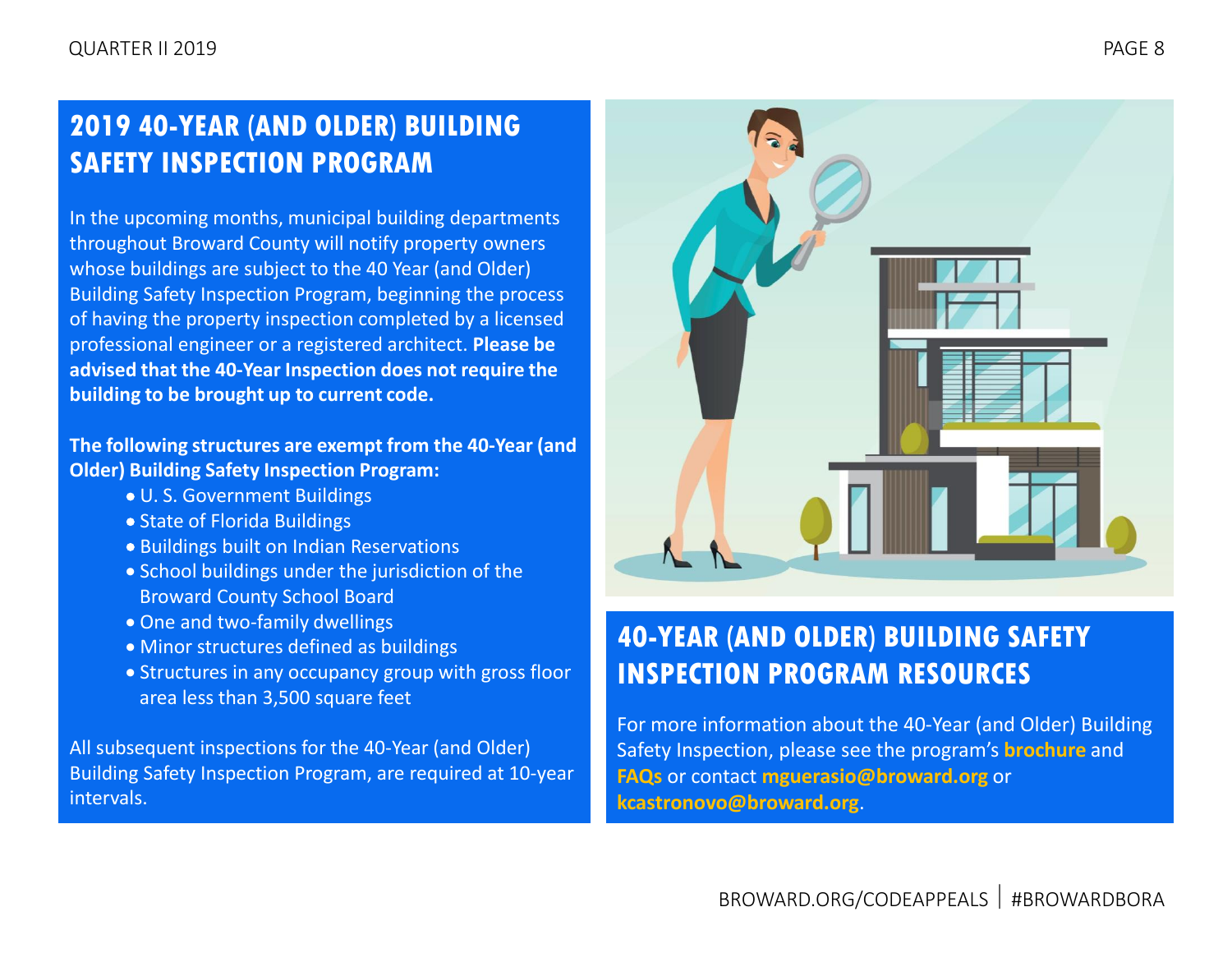### <span id="page-7-0"></span>**2019 40-YEAR (AND OLDER) BUILDING SAFETY INSPECTION PROGRAM**

In the upcoming months, municipal building departments throughout Broward County will notify property owners whose buildings are subject to the 40 Year (and Older) Building Safety Inspection Program, beginning the process of having the property inspection completed by a licensed professional engineer or a registered architect. **Please be advised that the 40-Year Inspection does not require the building to be brought up to current code.**

#### **The following structures are exempt from the 40-Year (and Older) Building Safety Inspection Program:**

- U. S. Government Buildings
- State of Florida Buildings
- Buildings built on Indian Reservations
- School buildings under the jurisdiction of the Broward County School Board
- One and two-family dwellings
- Minor structures defined as buildings
- Structures in any occupancy group with gross floor area less than 3,500 square feet

All subsequent inspections for the 40-Year (and Older) Building Safety Inspection Program, are required at 10-year intervals.



### **40-YEAR (AND OLDER) BUILDING SAFETY INSPECTION PROGRAM RESOURCES**

For more information about the 40-Year (and Older) Building Safety Inspection, please see the program's **[brochure](http://www.broward.org/CodeAppeals/Documents/40%20Year%20(and%20Older)%20Building%20Safety%20Inspection%20Program.pdf)** and **[FAQs](http://www.broward.org/CodeAppeals/Documents/40%20Year%20(and%20Older)%20Building%20Safety%20Inspection%20Program%20FAQs.pdf)** or contact **[mguerasio@broward.org](mailto:mguerasio@broward.org)** or **[kcastronovo@broward.org](mailto:kcastronovo@broward.org)**.